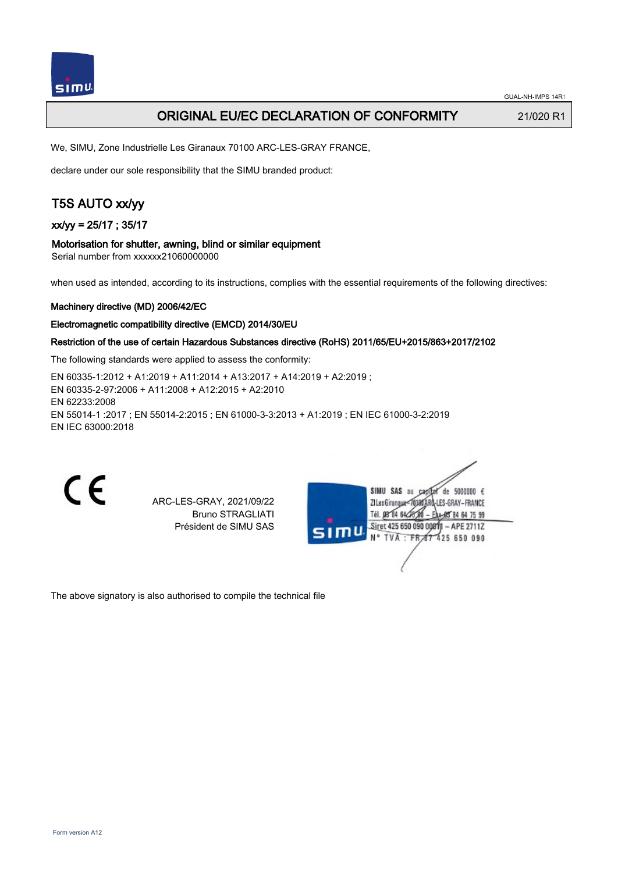

## ORIGINAL EU/EC DECLARATION OF CONFORMITY 21/020 R1

We, SIMU, Zone Industrielle Les Giranaux 70100 ARC-LES-GRAY FRANCE,

declare under our sole responsibility that the SIMU branded product:

# T5S AUTO xx/yy

xx/yy = 25/17 ; 35/17

#### Motorisation for shutter, awning, blind or similar equipment

Serial number from xxxxxx21060000000

when used as intended, according to its instructions, complies with the essential requirements of the following directives:

#### Machinery directive (MD) 2006/42/EC

#### Electromagnetic compatibility directive (EMCD) 2014/30/EU

### Restriction of the use of certain Hazardous Substances directive (RoHS) 2011/65/EU+2015/863+2017/2102

The following standards were applied to assess the conformity:

EN 60335‑1:2012 + A1:2019 + A11:2014 + A13:2017 + A14:2019 + A2:2019 ; EN 60335‑2‑97:2006 + A11:2008 + A12:2015 + A2:2010 EN 62233:2008 EN 55014‑1 :2017 ; EN 55014‑2:2015 ; EN 61000‑3‑3:2013 + A1:2019 ; EN IEC 61000‑3‑2:2019 EN IEC 63000:2018

C E

ARC-LES-GRAY, 2021/09/22 Bruno STRAGLIATI Président de SIMU SAS



The above signatory is also authorised to compile the technical file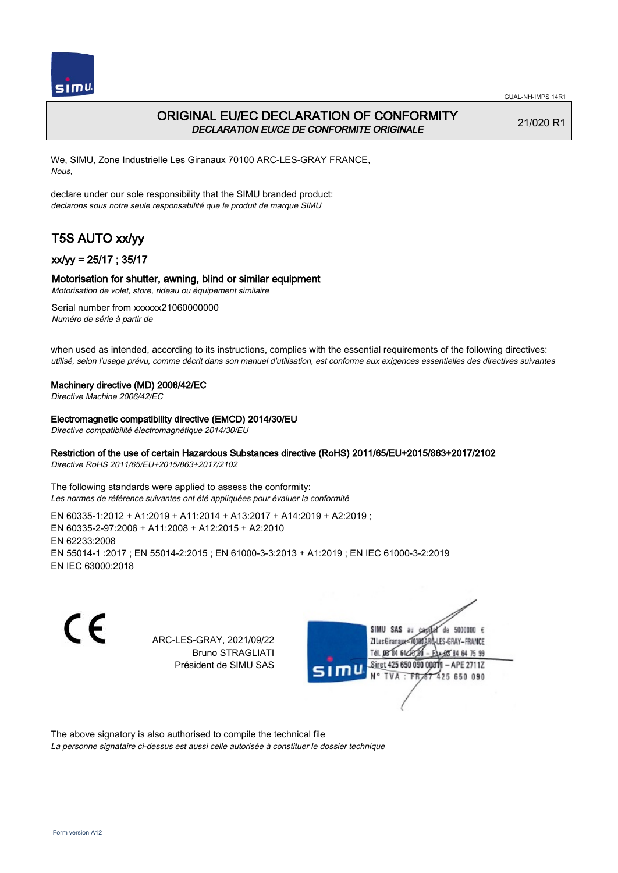

# ORIGINAL EU/EC DECLARATION OF CONFORMITY DECLARATION EU/CE DE CONFORMITE ORIGINALE

21/020 R1

We, SIMU, Zone Industrielle Les Giranaux 70100 ARC-LES-GRAY FRANCE, Nous,

declare under our sole responsibility that the SIMU branded product: declarons sous notre seule responsabilité que le produit de marque SIMU

# T5S AUTO xx/yy

## xx/yy = 25/17 ; 35/17

### Motorisation for shutter, awning, blind or similar equipment

Motorisation de volet, store, rideau ou équipement similaire

Serial number from xxxxxx21060000000 Numéro de série à partir de

when used as intended, according to its instructions, complies with the essential requirements of the following directives: utilisé, selon l'usage prévu, comme décrit dans son manuel d'utilisation, est conforme aux exigences essentielles des directives suivantes

#### Machinery directive (MD) 2006/42/EC

Directive Machine 2006/42/EC

#### Electromagnetic compatibility directive (EMCD) 2014/30/EU

Directive compatibilité électromagnétique 2014/30/EU

### Restriction of the use of certain Hazardous Substances directive (RoHS) 2011/65/EU+2015/863+2017/2102

Directive RoHS 2011/65/EU+2015/863+2017/2102

The following standards were applied to assess the conformity: Les normes de référence suivantes ont été appliquées pour évaluer la conformité

EN 60335‑1:2012 + A1:2019 + A11:2014 + A13:2017 + A14:2019 + A2:2019 ; EN 60335‑2‑97:2006 + A11:2008 + A12:2015 + A2:2010 EN 62233:2008 EN 55014‑1 :2017 ; EN 55014‑2:2015 ; EN 61000‑3‑3:2013 + A1:2019 ; EN IEC 61000‑3‑2:2019 EN IEC 63000:2018

C E

ARC-LES-GRAY, 2021/09/22 Bruno STRAGLIATI Président de SIMU SAS



The above signatory is also authorised to compile the technical file

La personne signataire ci-dessus est aussi celle autorisée à constituer le dossier technique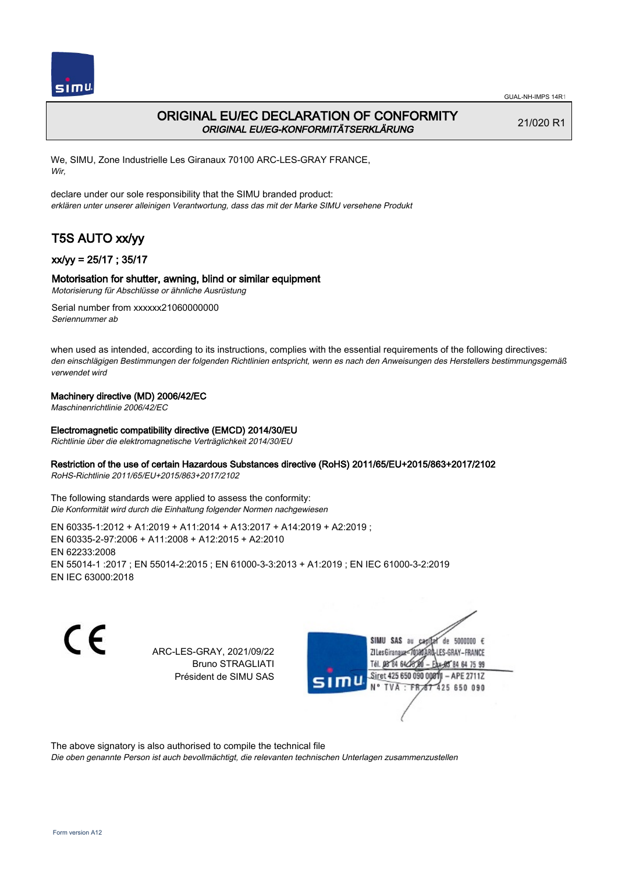

# ORIGINAL EU/EC DECLARATION OF CONFORMITY ORIGINAL EU/EG-KONFORMITÄTSERKLÄRUNG

21/020 R1

We, SIMU, Zone Industrielle Les Giranaux 70100 ARC-LES-GRAY FRANCE, Wir,

declare under our sole responsibility that the SIMU branded product: erklären unter unserer alleinigen Verantwortung, dass das mit der Marke SIMU versehene Produkt

# T5S AUTO xx/yy

## xx/yy = 25/17 ; 35/17

### Motorisation for shutter, awning, blind or similar equipment

Motorisierung für Abschlüsse or ähnliche Ausrüstung

Serial number from xxxxxx21060000000 Seriennummer ab

when used as intended, according to its instructions, complies with the essential requirements of the following directives: den einschlägigen Bestimmungen der folgenden Richtlinien entspricht, wenn es nach den Anweisungen des Herstellers bestimmungsgemäß verwendet wird

### Machinery directive (MD) 2006/42/EC

Maschinenrichtlinie 2006/42/EC

### Electromagnetic compatibility directive (EMCD) 2014/30/EU

Richtlinie über die elektromagnetische Verträglichkeit 2014/30/EU

### Restriction of the use of certain Hazardous Substances directive (RoHS) 2011/65/EU+2015/863+2017/2102

RoHS-Richtlinie 2011/65/EU+2015/863+2017/2102

The following standards were applied to assess the conformity: Die Konformität wird durch die Einhaltung folgender Normen nachgewiesen

EN 60335‑1:2012 + A1:2019 + A11:2014 + A13:2017 + A14:2019 + A2:2019 ; EN 60335‑2‑97:2006 + A11:2008 + A12:2015 + A2:2010 EN 62233:2008 EN 55014‑1 :2017 ; EN 55014‑2:2015 ; EN 61000‑3‑3:2013 + A1:2019 ; EN IEC 61000‑3‑2:2019 EN IEC 63000:2018

 $\epsilon$ 

ARC-LES-GRAY, 2021/09/22 Bruno STRAGLIATI Président de SIMU SAS



The above signatory is also authorised to compile the technical file

Die oben genannte Person ist auch bevollmächtigt, die relevanten technischen Unterlagen zusammenzustellen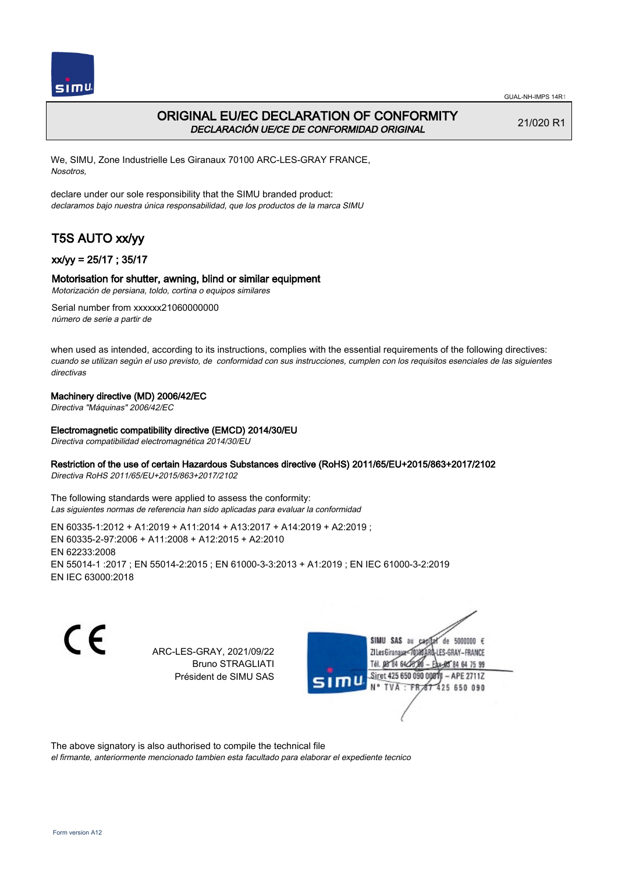

# ORIGINAL EU/EC DECLARATION OF CONFORMITY DECLARACIÓN UE/CE DE CONFORMIDAD ORIGINAL

21/020 R1

We, SIMU, Zone Industrielle Les Giranaux 70100 ARC-LES-GRAY FRANCE, Nosotros,

declare under our sole responsibility that the SIMU branded product: declaramos bajo nuestra única responsabilidad, que los productos de la marca SIMU

# T5S AUTO xx/yy

### xx/yy = 25/17 ; 35/17

### Motorisation for shutter, awning, blind or similar equipment

Motorización de persiana, toldo, cortina o equipos similares

Serial number from xxxxxx21060000000 número de serie a partir de

when used as intended, according to its instructions, complies with the essential requirements of the following directives: cuando se utilizan según el uso previsto, de conformidad con sus instrucciones, cumplen con los requisitos esenciales de las siguientes directivas

#### Machinery directive (MD) 2006/42/EC

Directiva "Máquinas" 2006/42/EC

#### Electromagnetic compatibility directive (EMCD) 2014/30/EU

Directiva compatibilidad electromagnética 2014/30/EU

#### Restriction of the use of certain Hazardous Substances directive (RoHS) 2011/65/EU+2015/863+2017/2102

Directiva RoHS 2011/65/EU+2015/863+2017/2102

The following standards were applied to assess the conformity: Las siguientes normas de referencia han sido aplicadas para evaluar la conformidad

EN 60335‑1:2012 + A1:2019 + A11:2014 + A13:2017 + A14:2019 + A2:2019 ; EN 60335‑2‑97:2006 + A11:2008 + A12:2015 + A2:2010 EN 62233:2008 EN 55014‑1 :2017 ; EN 55014‑2:2015 ; EN 61000‑3‑3:2013 + A1:2019 ; EN IEC 61000‑3‑2:2019 EN IEC 63000:2018

 $\epsilon$ 

ARC-LES-GRAY, 2021/09/22 Bruno STRAGLIATI Président de SIMU SAS



The above signatory is also authorised to compile the technical file

el firmante, anteriormente mencionado tambien esta facultado para elaborar el expediente tecnico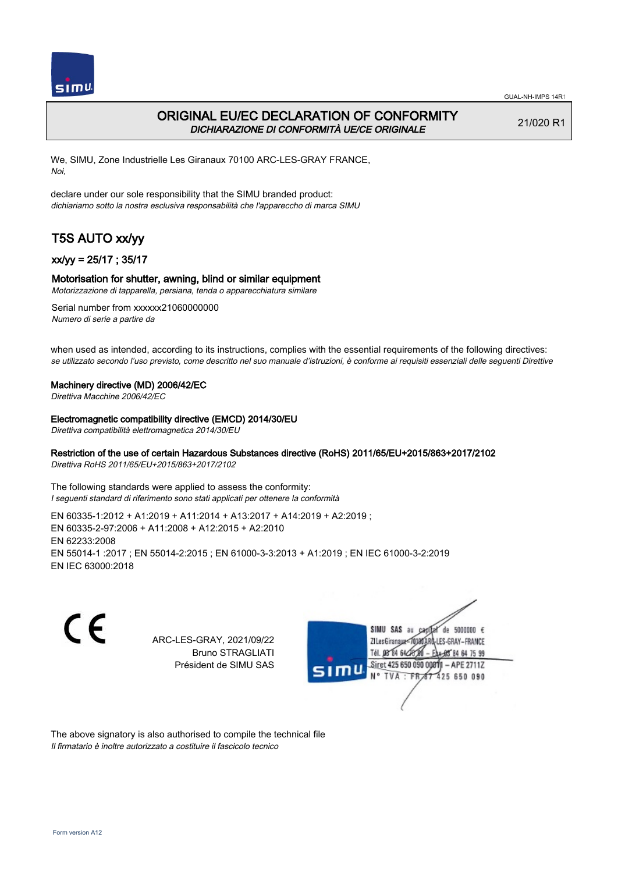

# ORIGINAL EU/EC DECLARATION OF CONFORMITY DICHIARAZIONE DI CONFORMITÀ UE/CE ORIGINALE

21/020 R1

We, SIMU, Zone Industrielle Les Giranaux 70100 ARC-LES-GRAY FRANCE, Noi,

declare under our sole responsibility that the SIMU branded product: dichiariamo sotto la nostra esclusiva responsabilità che l'appareccho di marca SIMU

# T5S AUTO xx/yy

### xx/yy = 25/17 ; 35/17

#### Motorisation for shutter, awning, blind or similar equipment

Motorizzazione di tapparella, persiana, tenda o apparecchiatura similare

Serial number from xxxxxx21060000000 Numero di serie a partire da

when used as intended, according to its instructions, complies with the essential requirements of the following directives: se utilizzato secondo l'uso previsto, come descritto nel suo manuale d'istruzioni, è conforme ai requisiti essenziali delle seguenti Direttive

#### Machinery directive (MD) 2006/42/EC

Direttiva Macchine 2006/42/EC

#### Electromagnetic compatibility directive (EMCD) 2014/30/EU

Direttiva compatibilità elettromagnetica 2014/30/EU

#### Restriction of the use of certain Hazardous Substances directive (RoHS) 2011/65/EU+2015/863+2017/2102

Direttiva RoHS 2011/65/EU+2015/863+2017/2102

The following standards were applied to assess the conformity: I seguenti standard di riferimento sono stati applicati per ottenere la conformità

EN 60335‑1:2012 + A1:2019 + A11:2014 + A13:2017 + A14:2019 + A2:2019 ; EN 60335‑2‑97:2006 + A11:2008 + A12:2015 + A2:2010 EN 62233:2008 EN 55014‑1 :2017 ; EN 55014‑2:2015 ; EN 61000‑3‑3:2013 + A1:2019 ; EN IEC 61000‑3‑2:2019 EN IEC 63000:2018

C E

ARC-LES-GRAY, 2021/09/22 Bruno STRAGLIATI Président de SIMU SAS



The above signatory is also authorised to compile the technical file Il firmatario è inoltre autorizzato a costituire il fascicolo tecnico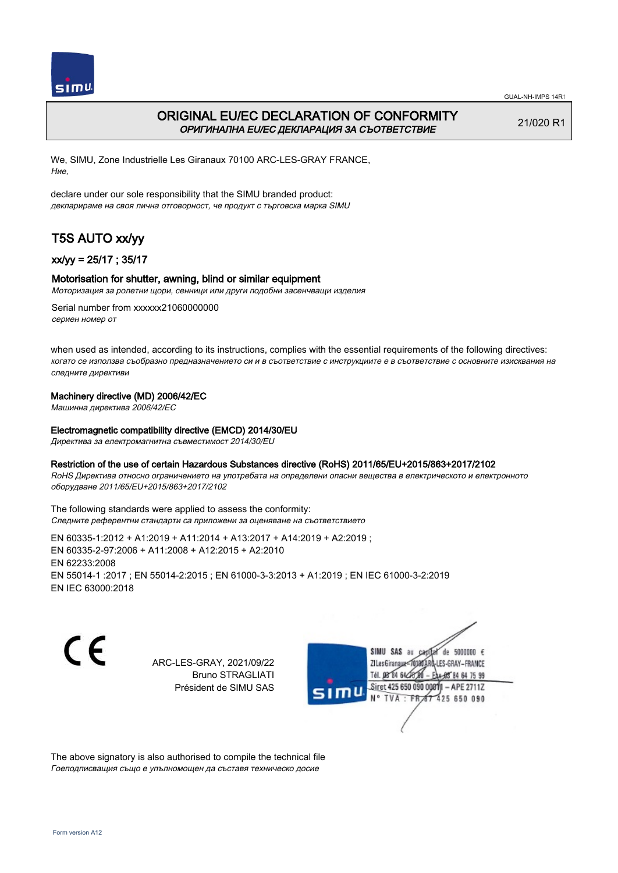

# ORIGINAL EU/EC DECLARATION OF CONFORMITY ОРИГИНАЛНА EU/EC ДЕКЛАРАЦИЯ ЗА СЪОТВЕТСТВИЕ

21/020 R1

We, SIMU, Zone Industrielle Les Giranaux 70100 ARC-LES-GRAY FRANCE, Ние,

declare under our sole responsibility that the SIMU branded product: декларираме на своя лична отговорност, че продукт с търговска марка SIMU

# T5S AUTO xx/yy

## xx/yy = 25/17 ; 35/17

### Motorisation for shutter, awning, blind or similar equipment

Моторизация за ролетни щори, сенници или други подобни засенчващи изделия

Serial number from xxxxxx21060000000 сериен номер от

when used as intended, according to its instructions, complies with the essential requirements of the following directives: когато се използва съобразно предназначението си и в съответствие с инструкциите е в съответствие с основните изисквания на следните директиви

## Machinery directive (MD) 2006/42/EC

Машинна директива 2006/42/EC

### Electromagnetic compatibility directive (EMCD) 2014/30/EU

Директива за електромагнитна съвместимост 2014/30/EU

### Restriction of the use of certain Hazardous Substances directive (RoHS) 2011/65/EU+2015/863+2017/2102

RoHS Директива относно ограничението на употребата на определени опасни вещества в електрическото и електронното оборудване 2011/65/EU+2015/863+2017/2102

The following standards were applied to assess the conformity: Следните референтни стандарти са приложени за оценяване на съответствието

EN 60335‑1:2012 + A1:2019 + A11:2014 + A13:2017 + A14:2019 + A2:2019 ; EN 60335‑2‑97:2006 + A11:2008 + A12:2015 + A2:2010 EN 62233:2008 EN 55014‑1 :2017 ; EN 55014‑2:2015 ; EN 61000‑3‑3:2013 + A1:2019 ; EN IEC 61000‑3‑2:2019 EN IEC 63000:2018

C E

ARC-LES-GRAY, 2021/09/22 Bruno STRAGLIATI Président de SIMU SAS

SIMU SAS au  $cardiz$  de 5000000  $\epsilon$ LES-GRAY-FRANCE ZI Les Giranaux</DJ80AF Tél. 08 84 64 28 584 64 75 99 Siret 425 650 090 008TV  $-$  APE 2711Z N° TVA : FRAT 425 650 090

The above signatory is also authorised to compile the technical file Гоеподписващия също е упълномощен да съставя техническо досие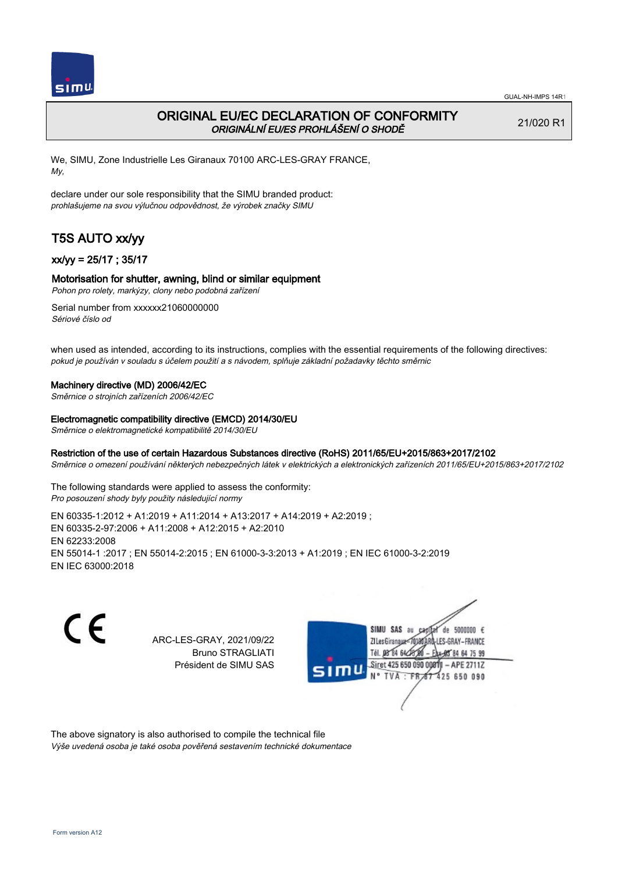

# ORIGINAL EU/EC DECLARATION OF CONFORMITY ORIGINÁLNÍ EU/ES PROHLÁŠENÍ O SHODĚ

21/020 R1

We, SIMU, Zone Industrielle Les Giranaux 70100 ARC-LES-GRAY FRANCE, My,

declare under our sole responsibility that the SIMU branded product: prohlašujeme na svou výlučnou odpovědnost, že výrobek značky SIMU

# T5S AUTO xx/yy

## xx/yy = 25/17 ; 35/17

### Motorisation for shutter, awning, blind or similar equipment

Pohon pro rolety, markýzy, clony nebo podobná zařízení

Serial number from xxxxxx21060000000 Sériové číslo od

when used as intended, according to its instructions, complies with the essential requirements of the following directives: pokud je používán v souladu s účelem použití a s návodem, splňuje základní požadavky těchto směrnic

#### Machinery directive (MD) 2006/42/EC

Směrnice o strojních zařízeních 2006/42/EC

#### Electromagnetic compatibility directive (EMCD) 2014/30/EU

Směrnice o elektromagnetické kompatibilitě 2014/30/EU

### Restriction of the use of certain Hazardous Substances directive (RoHS) 2011/65/EU+2015/863+2017/2102

Směrnice o omezení používání některých nebezpečných látek v elektrických a elektronických zařízeních 2011/65/EU+2015/863+2017/2102

The following standards were applied to assess the conformity: Pro posouzení shody byly použity následující normy

EN 60335‑1:2012 + A1:2019 + A11:2014 + A13:2017 + A14:2019 + A2:2019 ; EN 60335‑2‑97:2006 + A11:2008 + A12:2015 + A2:2010 EN 62233:2008 EN 55014‑1 :2017 ; EN 55014‑2:2015 ; EN 61000‑3‑3:2013 + A1:2019 ; EN IEC 61000‑3‑2:2019 EN IEC 63000:2018

C E

ARC-LES-GRAY, 2021/09/22 Bruno STRAGLIATI Président de SIMU SAS



The above signatory is also authorised to compile the technical file Výše uvedená osoba je také osoba pověřená sestavením technické dokumentace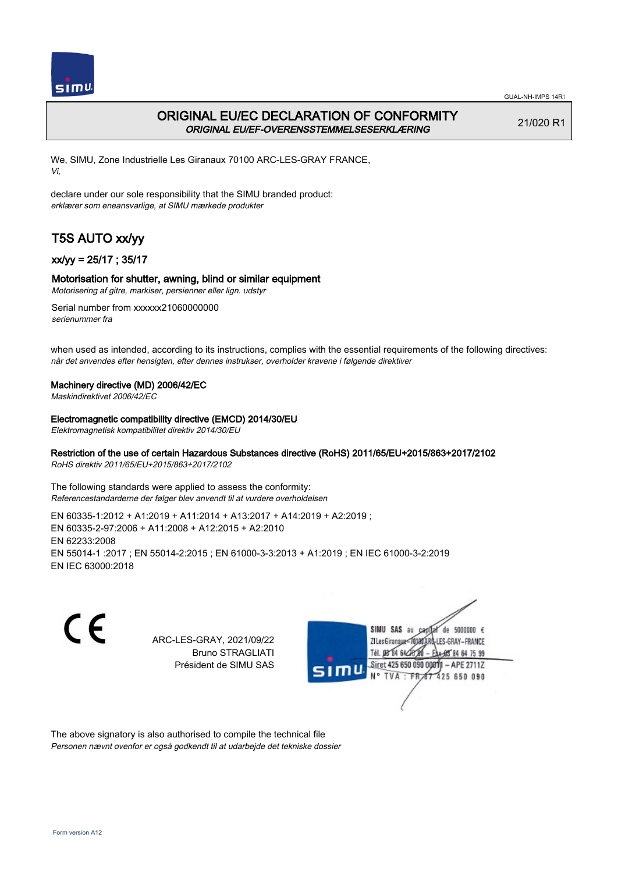

# ORIGINAL EU/EC DECLARATION OF CONFORMITY ORIGINAL EU/EF-OVERENSSTEMMELSESERKLÆRING

21/020 R1

We, SIMU, Zone Industrielle Les Giranaux 70100 ARC-LES-GRAY FRANCE, Vi,

declare under our sole responsibility that the SIMU branded product: erklærer som eneansvarlige, at SIMU mærkede produkter

# T5S AUTO xx/yy

## xx/yy = 25/17 ; 35/17

### Motorisation for shutter, awning, blind or similar equipment

Motorisering af gitre, markiser, persienner eller lign. udstyr

Serial number from xxxxxx21060000000 serienummer fra

when used as intended, according to its instructions, complies with the essential requirements of the following directives: når det anvendes efter hensigten, efter dennes instrukser, overholder kravene i følgende direktiver

#### Machinery directive (MD) 2006/42/EC

Maskindirektivet 2006/42/EC

#### Electromagnetic compatibility directive (EMCD) 2014/30/EU

Elektromagnetisk kompatibilitet direktiv 2014/30/EU

### Restriction of the use of certain Hazardous Substances directive (RoHS) 2011/65/EU+2015/863+2017/2102

RoHS direktiv 2011/65/EU+2015/863+2017/2102

The following standards were applied to assess the conformity: Referencestandarderne der følger blev anvendt til at vurdere overholdelsen

EN 60335‑1:2012 + A1:2019 + A11:2014 + A13:2017 + A14:2019 + A2:2019 ; EN 60335‑2‑97:2006 + A11:2008 + A12:2015 + A2:2010 EN 62233:2008 EN 55014‑1 :2017 ; EN 55014‑2:2015 ; EN 61000‑3‑3:2013 + A1:2019 ; EN IEC 61000‑3‑2:2019 EN IEC 63000:2018



ARC-LES-GRAY, 2021/09/22 Bruno STRAGLIATI Président de SIMU SAS



The above signatory is also authorised to compile the technical file Personen nævnt ovenfor er også godkendt til at udarbejde det tekniske dossier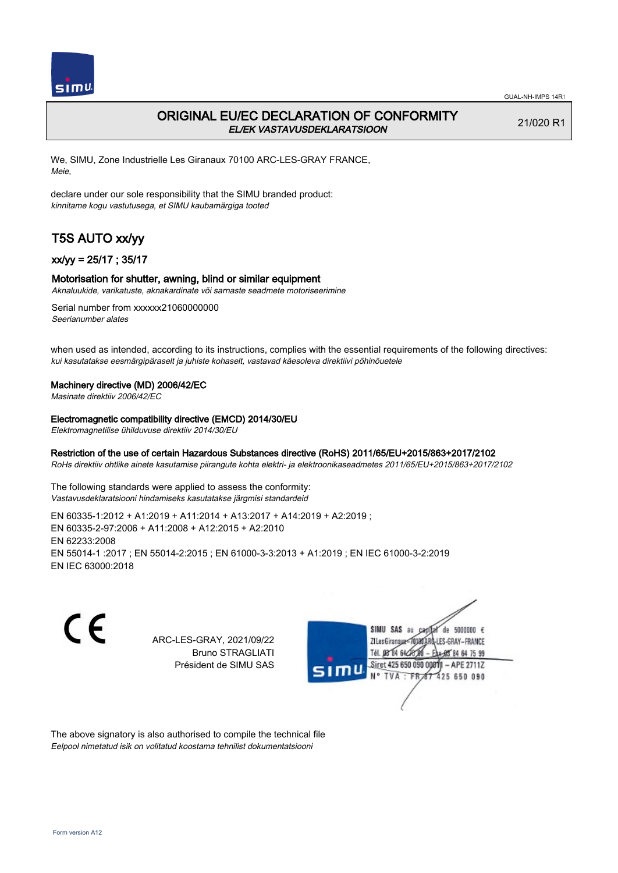

# ORIGINAL EU/EC DECLARATION OF CONFORMITY EL/EK VASTAVUSDEKLARATSIOON

21/020 R1

We, SIMU, Zone Industrielle Les Giranaux 70100 ARC-LES-GRAY FRANCE, Meie,

declare under our sole responsibility that the SIMU branded product: kinnitame kogu vastutusega, et SIMU kaubamärgiga tooted

# T5S AUTO xx/yy

### xx/yy = 25/17 ; 35/17

#### Motorisation for shutter, awning, blind or similar equipment

Aknaluukide, varikatuste, aknakardinate või sarnaste seadmete motoriseerimine

Serial number from xxxxxx21060000000 Seerianumber alates

when used as intended, according to its instructions, complies with the essential requirements of the following directives: kui kasutatakse eesmärgipäraselt ja juhiste kohaselt, vastavad käesoleva direktiivi põhinõuetele

#### Machinery directive (MD) 2006/42/EC

Masinate direktiiv 2006/42/EC

#### Electromagnetic compatibility directive (EMCD) 2014/30/EU

Elektromagnetilise ühilduvuse direktiiv 2014/30/EU

### Restriction of the use of certain Hazardous Substances directive (RoHS) 2011/65/EU+2015/863+2017/2102

RoHs direktiiv ohtlike ainete kasutamise piirangute kohta elektri- ja elektroonikaseadmetes 2011/65/EU+2015/863+2017/2102

The following standards were applied to assess the conformity: Vastavusdeklaratsiooni hindamiseks kasutatakse järgmisi standardeid

EN 60335‑1:2012 + A1:2019 + A11:2014 + A13:2017 + A14:2019 + A2:2019 ; EN 60335‑2‑97:2006 + A11:2008 + A12:2015 + A2:2010 EN 62233:2008 EN 55014‑1 :2017 ; EN 55014‑2:2015 ; EN 61000‑3‑3:2013 + A1:2019 ; EN IEC 61000‑3‑2:2019 EN IEC 63000:2018

C E

ARC-LES-GRAY, 2021/09/22 Bruno STRAGLIATI Président de SIMU SAS



The above signatory is also authorised to compile the technical file Eelpool nimetatud isik on volitatud koostama tehnilist dokumentatsiooni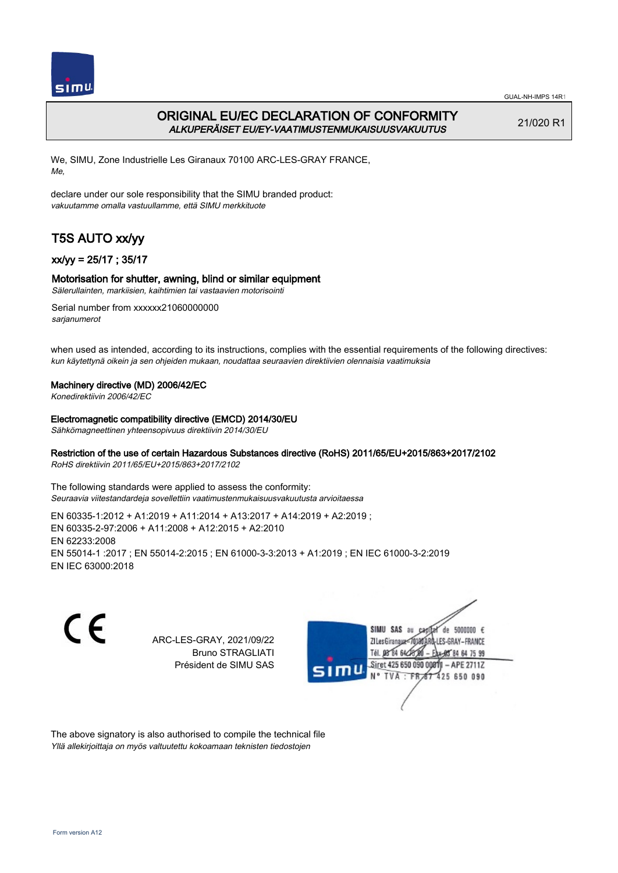

# ORIGINAL EU/EC DECLARATION OF CONFORMITY ALKUPERÄISET EU/EY-VAATIMUSTENMUKAISUUSVAKUUTUS

21/020 R1

We, SIMU, Zone Industrielle Les Giranaux 70100 ARC-LES-GRAY FRANCE, Me,

declare under our sole responsibility that the SIMU branded product: vakuutamme omalla vastuullamme, että SIMU merkkituote

# T5S AUTO xx/yy

## xx/yy = 25/17 ; 35/17

### Motorisation for shutter, awning, blind or similar equipment

Sälerullainten, markiisien, kaihtimien tai vastaavien motorisointi

Serial number from xxxxxx21060000000 sarjanumerot

when used as intended, according to its instructions, complies with the essential requirements of the following directives: kun käytettynä oikein ja sen ohjeiden mukaan, noudattaa seuraavien direktiivien olennaisia vaatimuksia

### Machinery directive (MD) 2006/42/EC

Konedirektiivin 2006/42/EC

#### Electromagnetic compatibility directive (EMCD) 2014/30/EU

Sähkömagneettinen yhteensopivuus direktiivin 2014/30/EU

# Restriction of the use of certain Hazardous Substances directive (RoHS) 2011/65/EU+2015/863+2017/2102

RoHS direktiivin 2011/65/EU+2015/863+2017/2102

The following standards were applied to assess the conformity: Seuraavia viitestandardeja sovellettiin vaatimustenmukaisuusvakuutusta arvioitaessa

EN 60335‑1:2012 + A1:2019 + A11:2014 + A13:2017 + A14:2019 + A2:2019 ; EN 60335‑2‑97:2006 + A11:2008 + A12:2015 + A2:2010 EN 62233:2008 EN 55014‑1 :2017 ; EN 55014‑2:2015 ; EN 61000‑3‑3:2013 + A1:2019 ; EN IEC 61000‑3‑2:2019 EN IEC 63000:2018

C E

ARC-LES-GRAY, 2021/09/22 Bruno STRAGLIATI Président de SIMU SAS



The above signatory is also authorised to compile the technical file Yllä allekirjoittaja on myös valtuutettu kokoamaan teknisten tiedostojen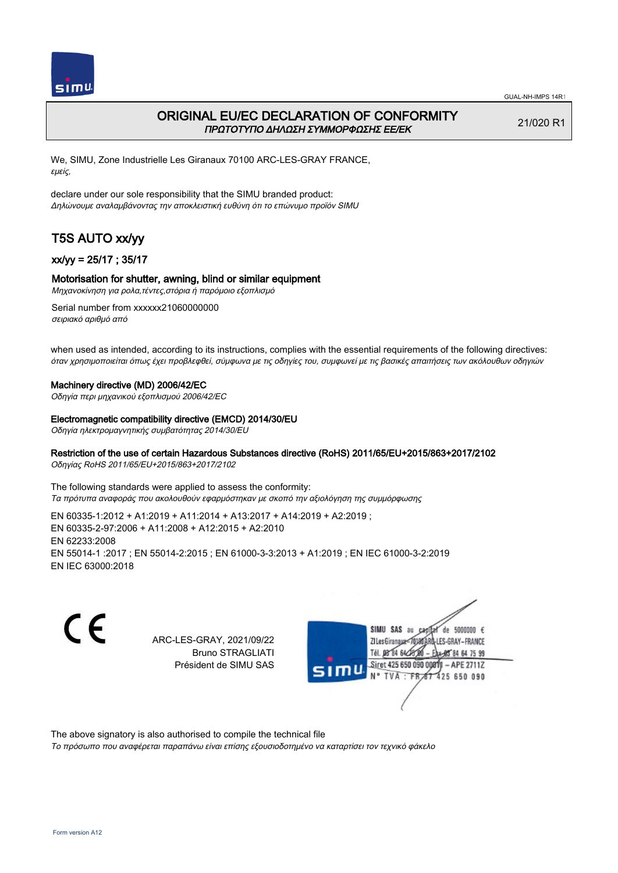

# ORIGINAL EU/EC DECLARATION OF CONFORMITY ΠΡΩΤΟΤΥΠΟ ΔΗΛΩΣΗ ΣΥΜΜΟΡΦΩΣΗΣ ΕΕ/EK

21/020 R1

We, SIMU, Zone Industrielle Les Giranaux 70100 ARC-LES-GRAY FRANCE, εμείς,

declare under our sole responsibility that the SIMU branded product: Δηλώνουμε αναλαμβάνοντας την αποκλειστική ευθύνη ότι το επώνυμο προϊόν SIMU

# T5S AUTO xx/yy

### xx/yy = 25/17 ; 35/17

### Motorisation for shutter, awning, blind or similar equipment

Μηχανοκίνηση για ρολα,τέντες,στόρια ή παρόμοιο εξοπλισμό

Serial number from xxxxxx21060000000 σειριακό αριθμό από

when used as intended, according to its instructions, complies with the essential requirements of the following directives: όταν χρησιμοποιείται όπως έχει προβλεφθεί, σύμφωνα με τις οδηγίες του, συμφωνεί με τις βασικές απαιτήσεις των ακόλουθων οδηγιών

#### Machinery directive (MD) 2006/42/EC

Οδηγία περι μηχανικού εξοπλισμού 2006/42/EC

#### Electromagnetic compatibility directive (EMCD) 2014/30/EU

Οδηγία ηλεκτρομαγνητικής συμβατότητας 2014/30/EU

### Restriction of the use of certain Hazardous Substances directive (RoHS) 2011/65/EU+2015/863+2017/2102

Οδηγίας RoHS 2011/65/EU+2015/863+2017/2102

The following standards were applied to assess the conformity: Τα πρότυπα αναφοράς που ακολουθούν εφαρμόστηκαν με σκοπό την αξιολόγηση της συμμόρφωσης

EN 60335‑1:2012 + A1:2019 + A11:2014 + A13:2017 + A14:2019 + A2:2019 ; EN 60335‑2‑97:2006 + A11:2008 + A12:2015 + A2:2010 EN 62233:2008 EN 55014‑1 :2017 ; EN 55014‑2:2015 ; EN 61000‑3‑3:2013 + A1:2019 ; EN IEC 61000‑3‑2:2019 EN IEC 63000:2018

C E

ARC-LES-GRAY, 2021/09/22 Bruno STRAGLIATI Président de SIMU SAS



The above signatory is also authorised to compile the technical file

Το πρόσωπο που αναφέρεται παραπάνω είναι επίσης εξουσιοδοτημένο να καταρτίσει τον τεχνικό φάκελο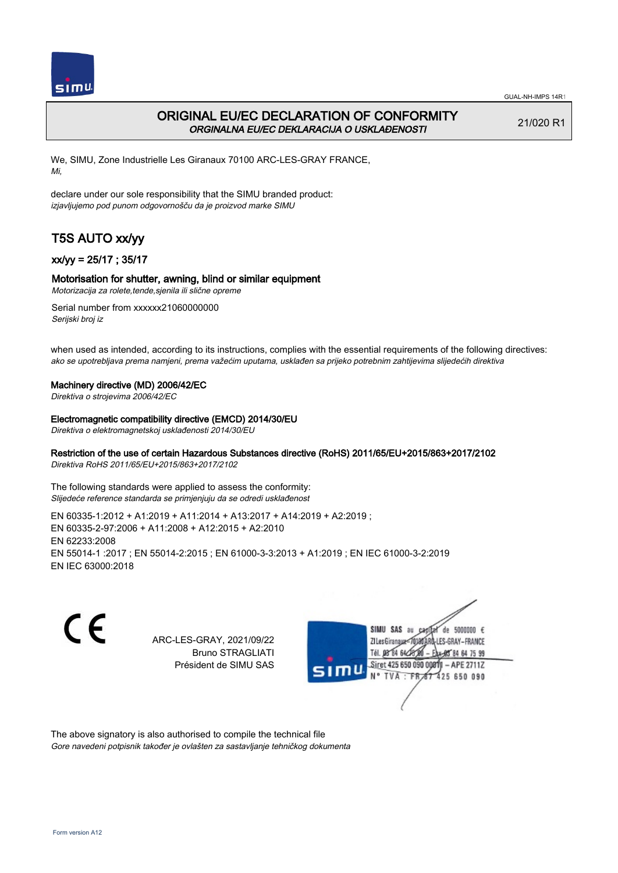

# ORIGINAL EU/EC DECLARATION OF CONFORMITY ORGINALNA EU/EC DEKLARACIJA O USKLAĐENOSTI

21/020 R1

We, SIMU, Zone Industrielle Les Giranaux 70100 ARC-LES-GRAY FRANCE, Mi,

declare under our sole responsibility that the SIMU branded product: izjavljujemo pod punom odgovornošču da je proizvod marke SIMU

# T5S AUTO xx/yy

## xx/yy = 25/17 ; 35/17

## Motorisation for shutter, awning, blind or similar equipment

Motorizacija za rolete,tende,sjenila ili slične opreme

Serial number from xxxxxx21060000000 Serijski broj iz

when used as intended, according to its instructions, complies with the essential requirements of the following directives: ako se upotrebljava prema namjeni, prema važećim uputama, usklađen sa prijeko potrebnim zahtijevima slijedećih direktiva

#### Machinery directive (MD) 2006/42/EC

Direktiva o strojevima 2006/42/EC

#### Electromagnetic compatibility directive (EMCD) 2014/30/EU

Direktiva o elektromagnetskoj usklađenosti 2014/30/EU

### Restriction of the use of certain Hazardous Substances directive (RoHS) 2011/65/EU+2015/863+2017/2102

Direktiva RoHS 2011/65/EU+2015/863+2017/2102

The following standards were applied to assess the conformity: Slijedeće reference standarda se primjenjuju da se odredi usklađenost

EN 60335‑1:2012 + A1:2019 + A11:2014 + A13:2017 + A14:2019 + A2:2019 ; EN 60335‑2‑97:2006 + A11:2008 + A12:2015 + A2:2010 EN 62233:2008 EN 55014‑1 :2017 ; EN 55014‑2:2015 ; EN 61000‑3‑3:2013 + A1:2019 ; EN IEC 61000‑3‑2:2019 EN IEC 63000:2018

C E

ARC-LES-GRAY, 2021/09/22 Bruno STRAGLIATI Président de SIMU SAS



The above signatory is also authorised to compile the technical file Gore navedeni potpisnik također je ovlašten za sastavljanje tehničkog dokumenta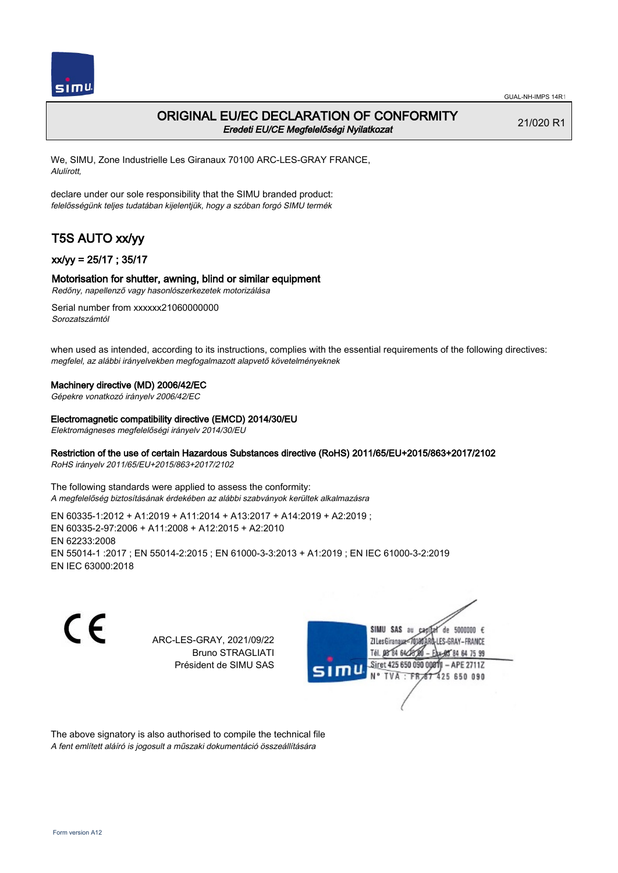

## ORIGINAL EU/EC DECLARATION OF CONFORMITY Eredeti EU/CE Megfelelőségi Nyilatkozat

21/020 R1

We, SIMU, Zone Industrielle Les Giranaux 70100 ARC-LES-GRAY FRANCE, Alulírott,

declare under our sole responsibility that the SIMU branded product: felelősségünk teljes tudatában kijelentjük, hogy a szóban forgó SIMU termék

# T5S AUTO xx/yy

### xx/yy = 25/17 ; 35/17

### Motorisation for shutter, awning, blind or similar equipment

Redőny, napellenző vagy hasonlószerkezetek motorizálása

Serial number from xxxxxx21060000000 Sorozatszámtól

when used as intended, according to its instructions, complies with the essential requirements of the following directives: megfelel, az alábbi irányelvekben megfogalmazott alapvető követelményeknek

#### Machinery directive (MD) 2006/42/EC

Gépekre vonatkozó irányelv 2006/42/EC

#### Electromagnetic compatibility directive (EMCD) 2014/30/EU

Elektromágneses megfelelőségi irányelv 2014/30/EU

### Restriction of the use of certain Hazardous Substances directive (RoHS) 2011/65/EU+2015/863+2017/2102

RoHS irányelv 2011/65/EU+2015/863+2017/2102

The following standards were applied to assess the conformity: A megfelelőség biztosításának érdekében az alábbi szabványok kerültek alkalmazásra

EN 60335‑1:2012 + A1:2019 + A11:2014 + A13:2017 + A14:2019 + A2:2019 ; EN 60335‑2‑97:2006 + A11:2008 + A12:2015 + A2:2010 EN 62233:2008 EN 55014‑1 :2017 ; EN 55014‑2:2015 ; EN 61000‑3‑3:2013 + A1:2019 ; EN IEC 61000‑3‑2:2019 EN IEC 63000:2018

C E

ARC-LES-GRAY, 2021/09/22 Bruno STRAGLIATI Président de SIMU SAS



The above signatory is also authorised to compile the technical file A fent említett aláíró is jogosult a műszaki dokumentáció összeállítására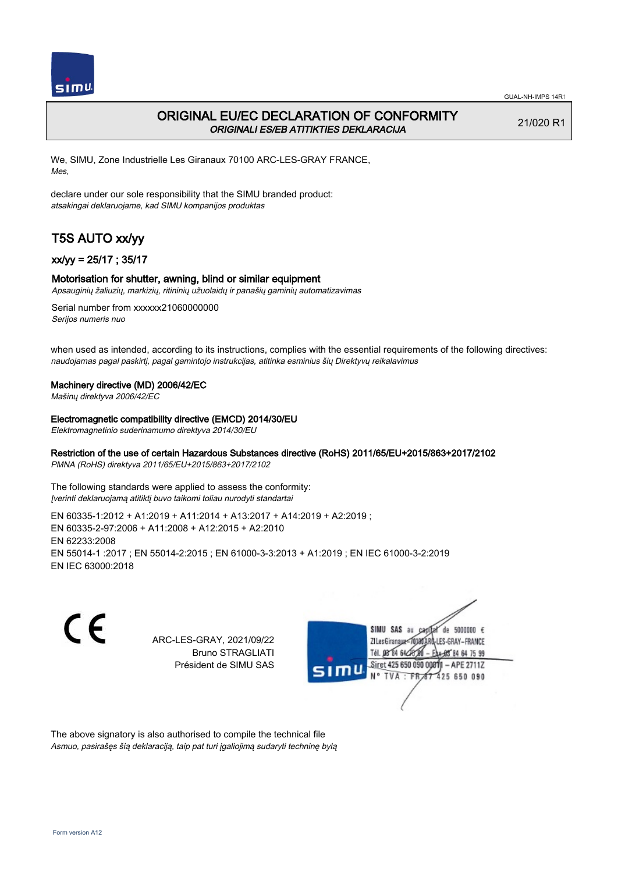

# ORIGINAL EU/EC DECLARATION OF CONFORMITY ORIGINALI ES/EB ATITIKTIES DEKLARACIJA

21/020 R1

We, SIMU, Zone Industrielle Les Giranaux 70100 ARC-LES-GRAY FRANCE, Mes,

declare under our sole responsibility that the SIMU branded product: atsakingai deklaruojame, kad SIMU kompanijos produktas

# T5S AUTO xx/yy

## xx/yy = 25/17 ; 35/17

### Motorisation for shutter, awning, blind or similar equipment

Apsauginių žaliuzių, markizių, ritininių užuolaidų ir panašių gaminių automatizavimas

Serial number from xxxxxx21060000000 Serijos numeris nuo

when used as intended, according to its instructions, complies with the essential requirements of the following directives: naudojamas pagal paskirtį, pagal gamintojo instrukcijas, atitinka esminius šių Direktyvų reikalavimus

#### Machinery directive (MD) 2006/42/EC

Mašinų direktyva 2006/42/EC

Electromagnetic compatibility directive (EMCD) 2014/30/EU

Elektromagnetinio suderinamumo direktyva 2014/30/EU

### Restriction of the use of certain Hazardous Substances directive (RoHS) 2011/65/EU+2015/863+2017/2102

PMNA (RoHS) direktyva 2011/65/EU+2015/863+2017/2102

The following standards were applied to assess the conformity: Įverinti deklaruojamą atitiktį buvo taikomi toliau nurodyti standartai

EN 60335‑1:2012 + A1:2019 + A11:2014 + A13:2017 + A14:2019 + A2:2019 ; EN 60335‑2‑97:2006 + A11:2008 + A12:2015 + A2:2010 EN 62233:2008 EN 55014‑1 :2017 ; EN 55014‑2:2015 ; EN 61000‑3‑3:2013 + A1:2019 ; EN IEC 61000‑3‑2:2019 EN IEC 63000:2018

C E

ARC-LES-GRAY, 2021/09/22 Bruno STRAGLIATI Président de SIMU SAS



The above signatory is also authorised to compile the technical file Asmuo, pasirašęs šią deklaraciją, taip pat turi įgaliojimą sudaryti techninę bylą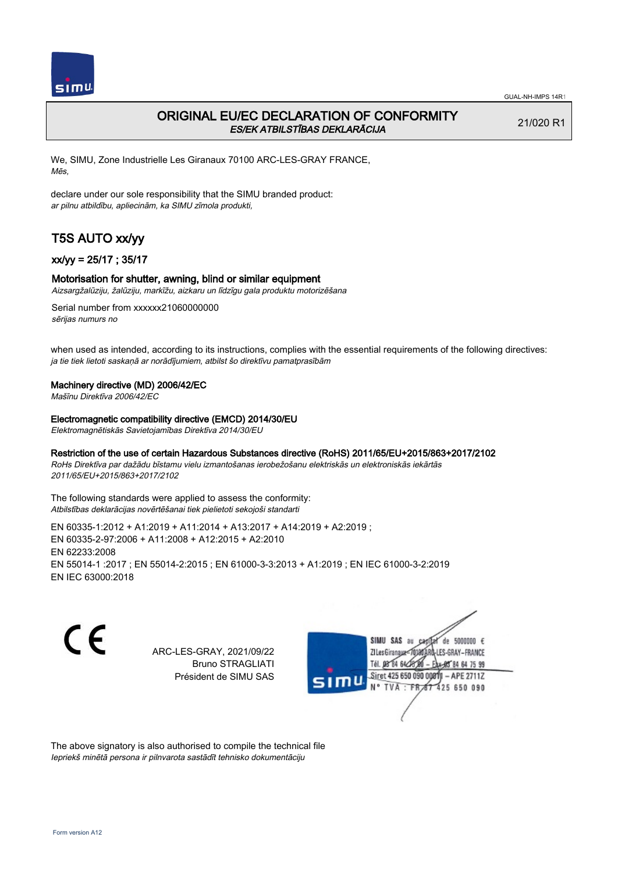

# ORIGINAL EU/EC DECLARATION OF CONFORMITY ES/EK ATBILSTĪBAS DEKLARĀCIJA

21/020 R1

We, SIMU, Zone Industrielle Les Giranaux 70100 ARC-LES-GRAY FRANCE, Mēs,

declare under our sole responsibility that the SIMU branded product: ar pilnu atbildību, apliecinām, ka SIMU zīmola produkti,

# T5S AUTO xx/yy

## xx/yy = 25/17 ; 35/17

### Motorisation for shutter, awning, blind or similar equipment

Aizsargžalūziju, žalūziju, markīžu, aizkaru un līdzīgu gala produktu motorizēšana

Serial number from xxxxxx21060000000 sērijas numurs no

when used as intended, according to its instructions, complies with the essential requirements of the following directives: ja tie tiek lietoti saskaņā ar norādījumiem, atbilst šo direktīvu pamatprasībām

#### Machinery directive (MD) 2006/42/EC

Mašīnu Direktīva 2006/42/EC

Electromagnetic compatibility directive (EMCD) 2014/30/EU

Elektromagnētiskās Savietojamības Direktīva 2014/30/EU

#### Restriction of the use of certain Hazardous Substances directive (RoHS) 2011/65/EU+2015/863+2017/2102

RoHs Direktīva par dažādu bīstamu vielu izmantošanas ierobežošanu elektriskās un elektroniskās iekārtās 2011/65/EU+2015/863+2017/2102

The following standards were applied to assess the conformity: Atbilstības deklarācijas novērtēšanai tiek pielietoti sekojoši standarti

EN 60335‑1:2012 + A1:2019 + A11:2014 + A13:2017 + A14:2019 + A2:2019 ; EN 60335‑2‑97:2006 + A11:2008 + A12:2015 + A2:2010 EN 62233:2008 EN 55014‑1 :2017 ; EN 55014‑2:2015 ; EN 61000‑3‑3:2013 + A1:2019 ; EN IEC 61000‑3‑2:2019 EN IEC 63000:2018

 $\epsilon$ 

ARC-LES-GRAY, 2021/09/22 Bruno STRAGLIATI Président de SIMU SAS



The above signatory is also authorised to compile the technical file Iepriekš minētā persona ir pilnvarota sastādīt tehnisko dokumentāciju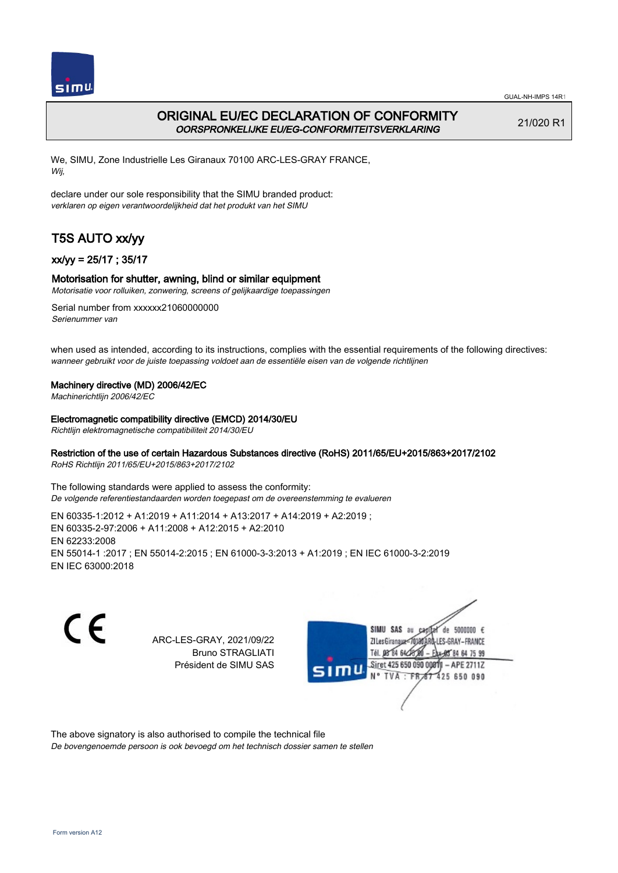

# ORIGINAL EU/EC DECLARATION OF CONFORMITY OORSPRONKELIJKE EU/EG-CONFORMITEITSVERKLARING

21/020 R1

We, SIMU, Zone Industrielle Les Giranaux 70100 ARC-LES-GRAY FRANCE, Wij,

declare under our sole responsibility that the SIMU branded product: verklaren op eigen verantwoordelijkheid dat het produkt van het SIMU

# T5S AUTO xx/yy

## xx/yy = 25/17 ; 35/17

### Motorisation for shutter, awning, blind or similar equipment

Motorisatie voor rolluiken, zonwering, screens of gelijkaardige toepassingen

Serial number from xxxxxx21060000000 Serienummer van

when used as intended, according to its instructions, complies with the essential requirements of the following directives: wanneer gebruikt voor de juiste toepassing voldoet aan de essentiële eisen van de volgende richtlijnen

### Machinery directive (MD) 2006/42/EC

Machinerichtlijn 2006/42/EC

Electromagnetic compatibility directive (EMCD) 2014/30/EU

Richtlijn elektromagnetische compatibiliteit 2014/30/EU

### Restriction of the use of certain Hazardous Substances directive (RoHS) 2011/65/EU+2015/863+2017/2102

RoHS Richtlijn 2011/65/EU+2015/863+2017/2102

The following standards were applied to assess the conformity: De volgende referentiestandaarden worden toegepast om de overeenstemming te evalueren

EN 60335‑1:2012 + A1:2019 + A11:2014 + A13:2017 + A14:2019 + A2:2019 ; EN 60335‑2‑97:2006 + A11:2008 + A12:2015 + A2:2010 EN 62233:2008 EN 55014‑1 :2017 ; EN 55014‑2:2015 ; EN 61000‑3‑3:2013 + A1:2019 ; EN IEC 61000‑3‑2:2019 EN IEC 63000:2018

C E

ARC-LES-GRAY, 2021/09/22 Bruno STRAGLIATI Président de SIMU SAS



The above signatory is also authorised to compile the technical file

De bovengenoemde persoon is ook bevoegd om het technisch dossier samen te stellen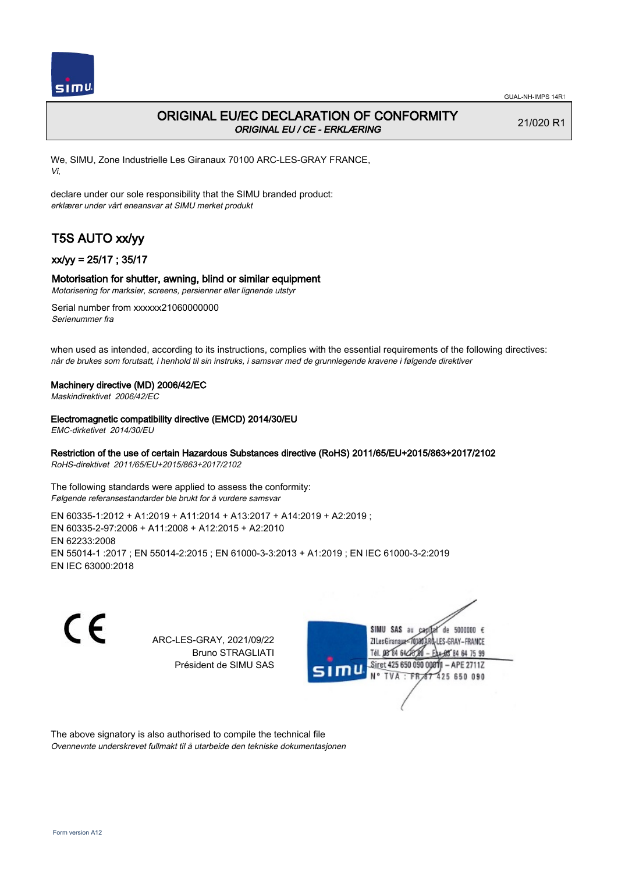

# ORIGINAL EU/EC DECLARATION OF CONFORMITY ORIGINAL EU / CE - ERKLÆRING

21/020 R1

We, SIMU, Zone Industrielle Les Giranaux 70100 ARC-LES-GRAY FRANCE, Vi,

declare under our sole responsibility that the SIMU branded product: erklærer under vårt eneansvar at SIMU merket produkt

# T5S AUTO xx/yy

### xx/yy = 25/17 ; 35/17

#### Motorisation for shutter, awning, blind or similar equipment

Motorisering for marksier, screens, persienner eller lignende utstyr

Serial number from xxxxxx21060000000 Serienummer fra

when used as intended, according to its instructions, complies with the essential requirements of the following directives: når de brukes som forutsatt, i henhold til sin instruks, i samsvar med de grunnlegende kravene i følgende direktiver

#### Machinery directive (MD) 2006/42/EC

Maskindirektivet 2006/42/EC

#### Electromagnetic compatibility directive (EMCD) 2014/30/EU

EMC-dirketivet 2014/30/EU

## Restriction of the use of certain Hazardous Substances directive (RoHS) 2011/65/EU+2015/863+2017/2102

RoHS-direktivet 2011/65/EU+2015/863+2017/2102

The following standards were applied to assess the conformity: Følgende referansestandarder ble brukt for å vurdere samsvar

EN 60335‑1:2012 + A1:2019 + A11:2014 + A13:2017 + A14:2019 + A2:2019 ; EN 60335‑2‑97:2006 + A11:2008 + A12:2015 + A2:2010 EN 62233:2008 EN 55014‑1 :2017 ; EN 55014‑2:2015 ; EN 61000‑3‑3:2013 + A1:2019 ; EN IEC 61000‑3‑2:2019 EN IEC 63000:2018

C E

ARC-LES-GRAY, 2021/09/22 Bruno STRAGLIATI Président de SIMU SAS



The above signatory is also authorised to compile the technical file Ovennevnte underskrevet fullmakt til å utarbeide den tekniske dokumentasjonen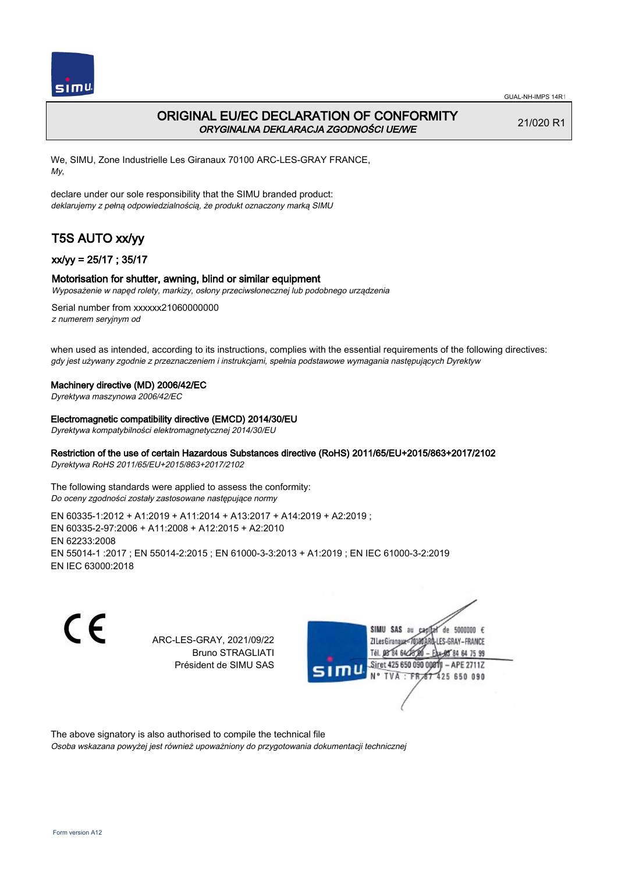

# ORIGINAL EU/EC DECLARATION OF CONFORMITY ORYGINALNA DEKLARACJA ZGODNOŚCI UE/WE

21/020 R1

We, SIMU, Zone Industrielle Les Giranaux 70100 ARC-LES-GRAY FRANCE, My,

declare under our sole responsibility that the SIMU branded product: deklarujemy z pełną odpowiedzialnością, że produkt oznaczony marką SIMU

# T5S AUTO xx/yy

### xx/yy = 25/17 ; 35/17

#### Motorisation for shutter, awning, blind or similar equipment

Wyposażenie w napęd rolety, markizy, osłony przeciwsłonecznej lub podobnego urządzenia

Serial number from xxxxxx21060000000 z numerem seryjnym od

when used as intended, according to its instructions, complies with the essential requirements of the following directives: gdy jest używany zgodnie z przeznaczeniem i instrukcjami, spełnia podstawowe wymagania następujących Dyrektyw

#### Machinery directive (MD) 2006/42/EC

Dyrektywa maszynowa 2006/42/EC

#### Electromagnetic compatibility directive (EMCD) 2014/30/EU

Dyrektywa kompatybilności elektromagnetycznej 2014/30/EU

### Restriction of the use of certain Hazardous Substances directive (RoHS) 2011/65/EU+2015/863+2017/2102

Dyrektywa RoHS 2011/65/EU+2015/863+2017/2102

The following standards were applied to assess the conformity: Do oceny zgodności zostały zastosowane następujące normy

EN 60335‑1:2012 + A1:2019 + A11:2014 + A13:2017 + A14:2019 + A2:2019 ; EN 60335‑2‑97:2006 + A11:2008 + A12:2015 + A2:2010 EN 62233:2008 EN 55014‑1 :2017 ; EN 55014‑2:2015 ; EN 61000‑3‑3:2013 + A1:2019 ; EN IEC 61000‑3‑2:2019 EN IEC 63000:2018

C E

ARC-LES-GRAY, 2021/09/22 Bruno STRAGLIATI Président de SIMU SAS



The above signatory is also authorised to compile the technical file

Osoba wskazana powyżej jest również upoważniony do przygotowania dokumentacji technicznej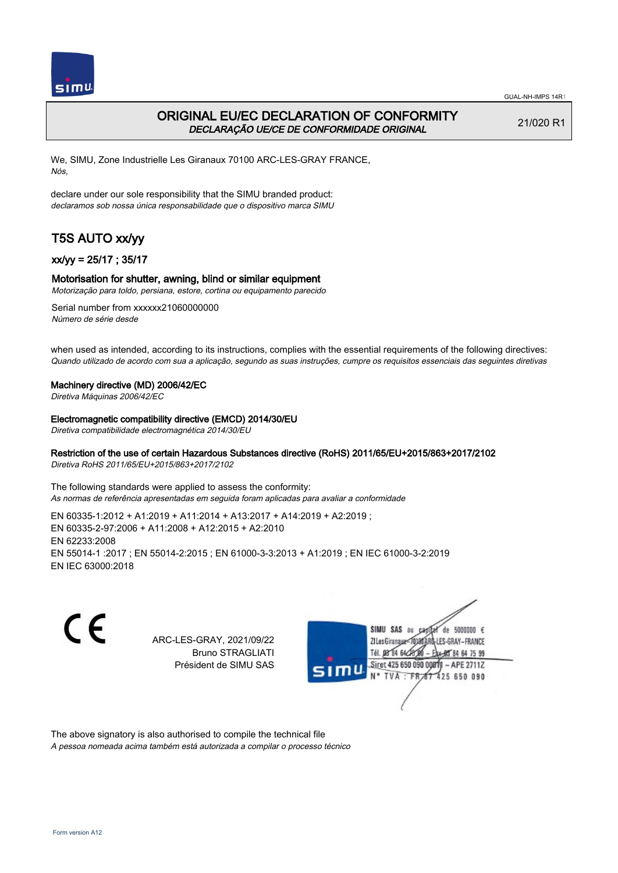

# ORIGINAL EU/EC DECLARATION OF CONFORMITY DECLARAÇÃO UE/CE DE CONFORMIDADE ORIGINAL

21/020 R1

We, SIMU, Zone Industrielle Les Giranaux 70100 ARC-LES-GRAY FRANCE, Nós,

declare under our sole responsibility that the SIMU branded product: declaramos sob nossa única responsabilidade que o dispositivo marca SIMU

# T5S AUTO xx/yy

### xx/yy = 25/17 ; 35/17

### Motorisation for shutter, awning, blind or similar equipment

Motorização para toldo, persiana, estore, cortina ou equipamento parecido

Serial number from xxxxxx21060000000 Número de série desde

when used as intended, according to its instructions, complies with the essential requirements of the following directives: Quando utilizado de acordo com sua a aplicação, segundo as suas instruções, cumpre os requisitos essenciais das seguintes diretivas

#### Machinery directive (MD) 2006/42/EC

Diretiva Máquinas 2006/42/EC

Electromagnetic compatibility directive (EMCD) 2014/30/EU

Diretiva compatibilidade electromagnética 2014/30/EU

### Restriction of the use of certain Hazardous Substances directive (RoHS) 2011/65/EU+2015/863+2017/2102

Diretiva RoHS 2011/65/EU+2015/863+2017/2102

The following standards were applied to assess the conformity: As normas de referência apresentadas em seguida foram aplicadas para avaliar a conformidade

EN 60335‑1:2012 + A1:2019 + A11:2014 + A13:2017 + A14:2019 + A2:2019 ; EN 60335‑2‑97:2006 + A11:2008 + A12:2015 + A2:2010 EN 62233:2008 EN 55014‑1 :2017 ; EN 55014‑2:2015 ; EN 61000‑3‑3:2013 + A1:2019 ; EN IEC 61000‑3‑2:2019 EN IEC 63000:2018

C E

ARC-LES-GRAY, 2021/09/22 Bruno STRAGLIATI Président de SIMU SAS



The above signatory is also authorised to compile the technical file

A pessoa nomeada acima também está autorizada a compilar o processo técnico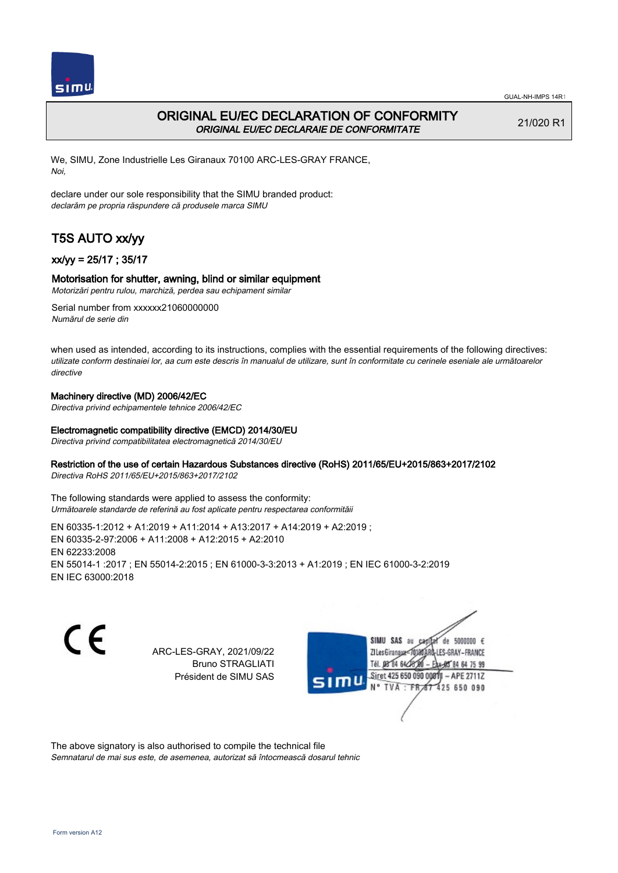

# ORIGINAL EU/EC DECLARATION OF CONFORMITY ORIGINAL EU/EC DECLARAIE DE CONFORMITATE

21/020 R1

We, SIMU, Zone Industrielle Les Giranaux 70100 ARC-LES-GRAY FRANCE, Noi,

declare under our sole responsibility that the SIMU branded product: declarăm pe propria răspundere că produsele marca SIMU

# T5S AUTO xx/yy

## xx/yy = 25/17 ; 35/17

### Motorisation for shutter, awning, blind or similar equipment

Motorizări pentru rulou, marchiză, perdea sau echipament similar

Serial number from xxxxxx21060000000 Numărul de serie din

when used as intended, according to its instructions, complies with the essential requirements of the following directives: utilizate conform destinaiei lor, aa cum este descris în manualul de utilizare, sunt în conformitate cu cerinele eseniale ale următoarelor directive

## Machinery directive (MD) 2006/42/EC

Directiva privind echipamentele tehnice 2006/42/EC

### Electromagnetic compatibility directive (EMCD) 2014/30/EU

Directiva privind compatibilitatea electromagnetică 2014/30/EU

### Restriction of the use of certain Hazardous Substances directive (RoHS) 2011/65/EU+2015/863+2017/2102

Directiva RoHS 2011/65/EU+2015/863+2017/2102

The following standards were applied to assess the conformity: Următoarele standarde de referină au fost aplicate pentru respectarea conformităii

EN 60335‑1:2012 + A1:2019 + A11:2014 + A13:2017 + A14:2019 + A2:2019 ; EN 60335‑2‑97:2006 + A11:2008 + A12:2015 + A2:2010 EN 62233:2008 EN 55014‑1 :2017 ; EN 55014‑2:2015 ; EN 61000‑3‑3:2013 + A1:2019 ; EN IEC 61000‑3‑2:2019 EN IEC 63000:2018

 $\epsilon$ 

ARC-LES-GRAY, 2021/09/22 Bruno STRAGLIATI Président de SIMU SAS



The above signatory is also authorised to compile the technical file

Semnatarul de mai sus este, de asemenea, autorizat să întocmească dosarul tehnic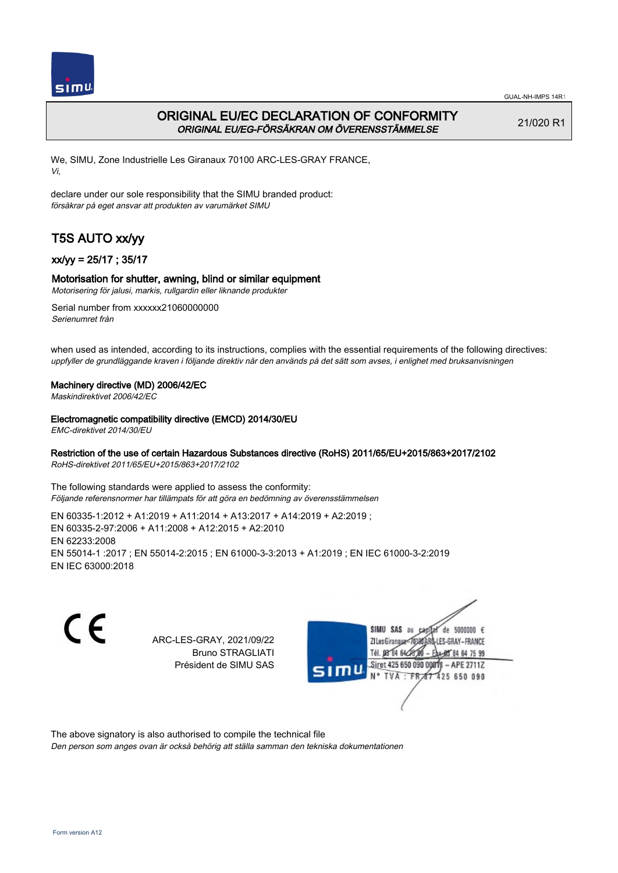

# ORIGINAL EU/EC DECLARATION OF CONFORMITY ORIGINAL EU/EG-FÖRSÄKRAN OM ÖVERENSSTÄMMELSE

21/020 R1

We, SIMU, Zone Industrielle Les Giranaux 70100 ARC-LES-GRAY FRANCE, Vi,

declare under our sole responsibility that the SIMU branded product: försäkrar på eget ansvar att produkten av varumärket SIMU

# T5S AUTO xx/yy

## xx/yy = 25/17 ; 35/17

### Motorisation for shutter, awning, blind or similar equipment

Motorisering för jalusi, markis, rullgardin eller liknande produkter

Serial number from xxxxxx21060000000 Serienumret från

when used as intended, according to its instructions, complies with the essential requirements of the following directives: uppfyller de grundläggande kraven i följande direktiv när den används på det sätt som avses, i enlighet med bruksanvisningen

#### Machinery directive (MD) 2006/42/EC

Maskindirektivet 2006/42/EC

#### Electromagnetic compatibility directive (EMCD) 2014/30/EU

EMC-direktivet 2014/30/EU

### Restriction of the use of certain Hazardous Substances directive (RoHS) 2011/65/EU+2015/863+2017/2102

RoHS-direktivet 2011/65/EU+2015/863+2017/2102

The following standards were applied to assess the conformity: Följande referensnormer har tillämpats för att göra en bedömning av överensstämmelsen

EN 60335‑1:2012 + A1:2019 + A11:2014 + A13:2017 + A14:2019 + A2:2019 ; EN 60335‑2‑97:2006 + A11:2008 + A12:2015 + A2:2010 EN 62233:2008 EN 55014‑1 :2017 ; EN 55014‑2:2015 ; EN 61000‑3‑3:2013 + A1:2019 ; EN IEC 61000‑3‑2:2019 EN IEC 63000:2018

C E

ARC-LES-GRAY, 2021/09/22 Bruno STRAGLIATI Président de SIMU SAS



The above signatory is also authorised to compile the technical file

Den person som anges ovan är också behörig att ställa samman den tekniska dokumentationen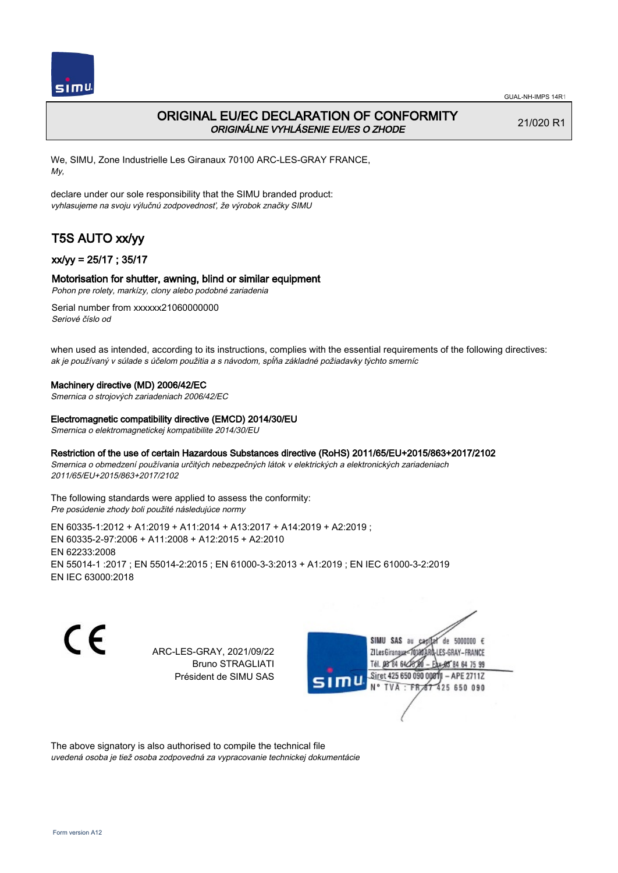

# ORIGINAL EU/EC DECLARATION OF CONFORMITY ORIGINÁLNE VYHLÁSENIE EU/ES O ZHODE

21/020 R1

We, SIMU, Zone Industrielle Les Giranaux 70100 ARC-LES-GRAY FRANCE, My,

declare under our sole responsibility that the SIMU branded product: vyhlasujeme na svoju výlučnú zodpovednosť, že výrobok značky SIMU

# T5S AUTO xx/yy

## xx/yy = 25/17 ; 35/17

### Motorisation for shutter, awning, blind or similar equipment

Pohon pre rolety, markízy, clony alebo podobné zariadenia

Serial number from xxxxxx21060000000 Seriové číslo od

when used as intended, according to its instructions, complies with the essential requirements of the following directives: ak je používaný v súlade s účelom použitia a s návodom, spĺňa základné požiadavky týchto smerníc

#### Machinery directive (MD) 2006/42/EC

Smernica o strojových zariadeniach 2006/42/EC

#### Electromagnetic compatibility directive (EMCD) 2014/30/EU

Smernica o elektromagnetickej kompatibilite 2014/30/EU

### Restriction of the use of certain Hazardous Substances directive (RoHS) 2011/65/EU+2015/863+2017/2102

Smernica o obmedzení používania určitých nebezpečných látok v elektrických a elektronických zariadeniach 2011/65/EU+2015/863+2017/2102

The following standards were applied to assess the conformity: Pre posúdenie zhody boli použité následujúce normy

EN 60335‑1:2012 + A1:2019 + A11:2014 + A13:2017 + A14:2019 + A2:2019 ; EN 60335‑2‑97:2006 + A11:2008 + A12:2015 + A2:2010 EN 62233:2008 EN 55014‑1 :2017 ; EN 55014‑2:2015 ; EN 61000‑3‑3:2013 + A1:2019 ; EN IEC 61000‑3‑2:2019 EN IEC 63000:2018

 $\epsilon$ 

ARC-LES-GRAY, 2021/09/22 Bruno STRAGLIATI Président de SIMU SAS



The above signatory is also authorised to compile the technical file

uvedená osoba je tiež osoba zodpovedná za vypracovanie technickej dokumentácie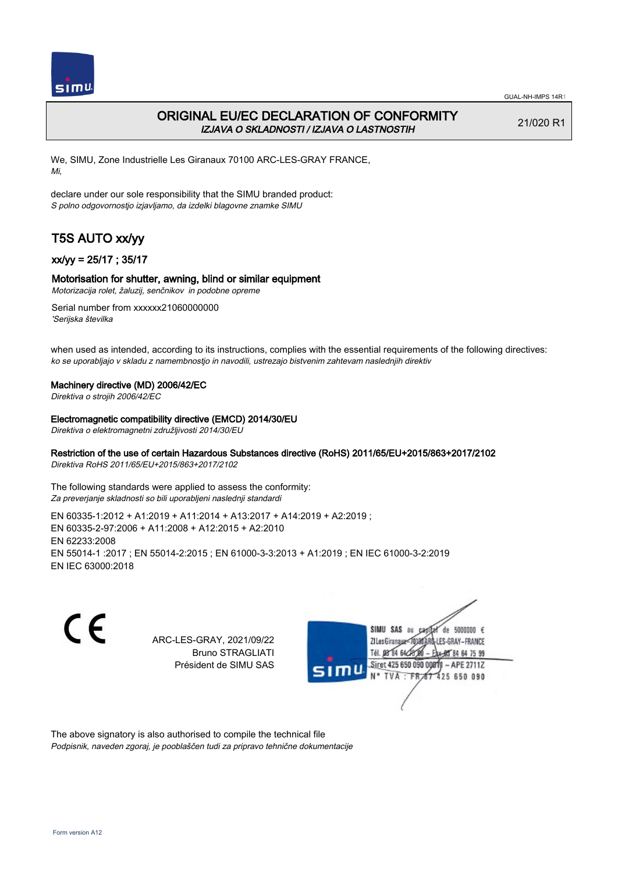

# ORIGINAL EU/EC DECLARATION OF CONFORMITY IZJAVA O SKLADNOSTI / IZJAVA O LASTNOSTIH

21/020 R1

We, SIMU, Zone Industrielle Les Giranaux 70100 ARC-LES-GRAY FRANCE, Mi,

declare under our sole responsibility that the SIMU branded product: S polno odgovornostjo izjavljamo, da izdelki blagovne znamke SIMU

# T5S AUTO xx/yy

## xx/yy = 25/17 ; 35/17

## Motorisation for shutter, awning, blind or similar equipment

Motorizacija rolet, žaluzij, senčnikov in podobne opreme

Serial number from xxxxxx21060000000 'Serijska številka

when used as intended, according to its instructions, complies with the essential requirements of the following directives: ko se uporabljajo v skladu z namembnostjo in navodili, ustrezajo bistvenim zahtevam naslednjih direktiv

### Machinery directive (MD) 2006/42/EC

Direktiva o strojih 2006/42/EC

#### Electromagnetic compatibility directive (EMCD) 2014/30/EU

Direktiva o elektromagnetni združljivosti 2014/30/EU

## Restriction of the use of certain Hazardous Substances directive (RoHS) 2011/65/EU+2015/863+2017/2102

Direktiva RoHS 2011/65/EU+2015/863+2017/2102

The following standards were applied to assess the conformity: Za preverjanje skladnosti so bili uporabljeni naslednji standardi

EN 60335‑1:2012 + A1:2019 + A11:2014 + A13:2017 + A14:2019 + A2:2019 ; EN 60335‑2‑97:2006 + A11:2008 + A12:2015 + A2:2010 EN 62233:2008 EN 55014‑1 :2017 ; EN 55014‑2:2015 ; EN 61000‑3‑3:2013 + A1:2019 ; EN IEC 61000‑3‑2:2019 EN IEC 63000:2018

C E

ARC-LES-GRAY, 2021/09/22 Bruno STRAGLIATI Président de SIMU SAS



The above signatory is also authorised to compile the technical file Podpisnik, naveden zgoraj, je pooblaščen tudi za pripravo tehnične dokumentacije